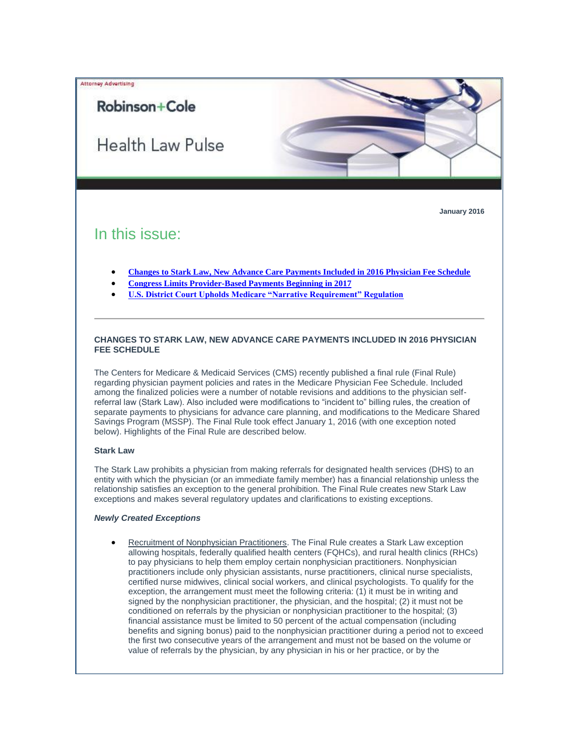

**January 2016**

# In this issue:

Robinson+Cole

Attorney Advertising

- **[Changes to Stark Law, New Advance Care Payments Included in 2016 Physician Fee Schedule](#page-0-0)**
- **[Congress Limits Provider-Based Payments Beginning in 2017](#page-3-0)**
- **[U.S. District Court Upholds Medicare "Narrative Requirement" Regulation](#page-4-0)**

## <span id="page-0-0"></span>**CHANGES TO STARK LAW, NEW ADVANCE CARE PAYMENTS INCLUDED IN 2016 PHYSICIAN FEE SCHEDULE**

The Centers for Medicare & Medicaid Services (CMS) recently published a final rule (Final Rule) regarding physician payment policies and rates in the Medicare Physician Fee Schedule. Included among the finalized policies were a number of notable revisions and additions to the physician selfreferral law (Stark Law). Also included were modifications to "incident to" billing rules, the creation of separate payments to physicians for advance care planning, and modifications to the Medicare Shared Savings Program (MSSP). The Final Rule took effect January 1, 2016 (with one exception noted below). Highlights of the Final Rule are described below.

# **Stark Law**

The Stark Law prohibits a physician from making referrals for designated health services (DHS) to an entity with which the physician (or an immediate family member) has a financial relationship unless the relationship satisfies an exception to the general prohibition. The Final Rule creates new Stark Law exceptions and makes several regulatory updates and clarifications to existing exceptions.

## *Newly Created Exceptions*

 Recruitment of Nonphysician Practitioners. The Final Rule creates a Stark Law exception allowing hospitals, federally qualified health centers (FQHCs), and rural health clinics (RHCs) to pay physicians to help them employ certain nonphysician practitioners. Nonphysician practitioners include only physician assistants, nurse practitioners, clinical nurse specialists, certified nurse midwives, clinical social workers, and clinical psychologists. To qualify for the exception, the arrangement must meet the following criteria: (1) it must be in writing and signed by the nonphysician practitioner, the physician, and the hospital; (2) it must not be conditioned on referrals by the physician or nonphysician practitioner to the hospital; (3) financial assistance must be limited to 50 percent of the actual compensation (including benefits and signing bonus) paid to the nonphysician practitioner during a period not to exceed the first two consecutive years of the arrangement and must not be based on the volume or value of referrals by the physician, by any physician in his or her practice, or by the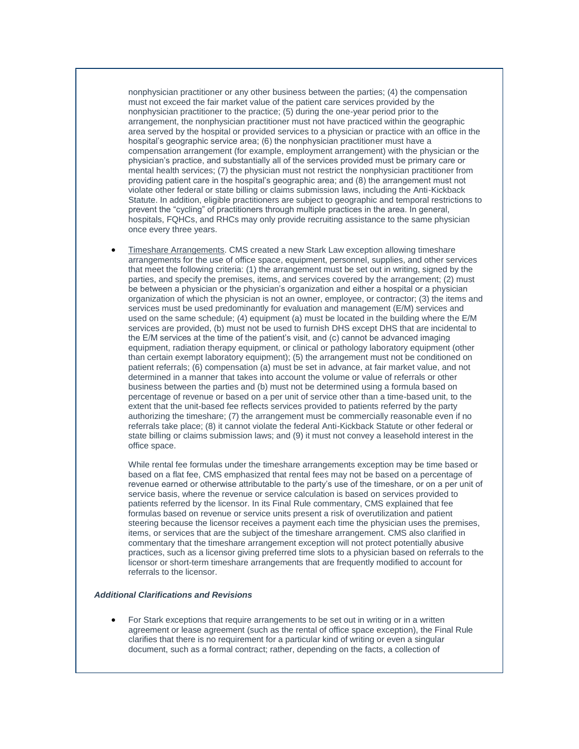nonphysician practitioner or any other business between the parties; (4) the compensation must not exceed the fair market value of the patient care services provided by the nonphysician practitioner to the practice; (5) during the one-year period prior to the arrangement, the nonphysician practitioner must not have practiced within the geographic area served by the hospital or provided services to a physician or practice with an office in the hospital's geographic service area; (6) the nonphysician practitioner must have a compensation arrangement (for example, employment arrangement) with the physician or the physician's practice, and substantially all of the services provided must be primary care or mental health services; (7) the physician must not restrict the nonphysician practitioner from providing patient care in the hospital's geographic area; and (8) the arrangement must not violate other federal or state billing or claims submission laws, including the Anti-Kickback Statute. In addition, eligible practitioners are subject to geographic and temporal restrictions to prevent the "cycling" of practitioners through multiple practices in the area. In general, hospitals, FQHCs, and RHCs may only provide recruiting assistance to the same physician once every three years.

 Timeshare Arrangements. CMS created a new Stark Law exception allowing timeshare arrangements for the use of office space, equipment, personnel, supplies, and other services that meet the following criteria: (1) the arrangement must be set out in writing, signed by the parties, and specify the premises, items, and services covered by the arrangement; (2) must be between a physician or the physician's organization and either a hospital or a physician organization of which the physician is not an owner, employee, or contractor; (3) the items and services must be used predominantly for evaluation and management (E/M) services and used on the same schedule; (4) equipment (a) must be located in the building where the E/M services are provided, (b) must not be used to furnish DHS except DHS that are incidental to the E/M services at the time of the patient's visit, and (c) cannot be advanced imaging equipment, radiation therapy equipment, or clinical or pathology laboratory equipment (other than certain exempt laboratory equipment); (5) the arrangement must not be conditioned on patient referrals; (6) compensation (a) must be set in advance, at fair market value, and not determined in a manner that takes into account the volume or value of referrals or other business between the parties and (b) must not be determined using a formula based on percentage of revenue or based on a per unit of service other than a time-based unit, to the extent that the unit-based fee reflects services provided to patients referred by the party authorizing the timeshare; (7) the arrangement must be commercially reasonable even if no referrals take place; (8) it cannot violate the federal Anti-Kickback Statute or other federal or state billing or claims submission laws; and (9) it must not convey a leasehold interest in the office space.

While rental fee formulas under the timeshare arrangements exception may be time based or based on a flat fee, CMS emphasized that rental fees may not be based on a percentage of revenue earned or otherwise attributable to the party's use of the timeshare, or on a per unit of service basis, where the revenue or service calculation is based on services provided to patients referred by the licensor. In its Final Rule commentary, CMS explained that fee formulas based on revenue or service units present a risk of overutilization and patient steering because the licensor receives a payment each time the physician uses the premises, items, or services that are the subject of the timeshare arrangement. CMS also clarified in commentary that the timeshare arrangement exception will not protect potentially abusive practices, such as a licensor giving preferred time slots to a physician based on referrals to the licensor or short-term timeshare arrangements that are frequently modified to account for referrals to the licensor.

## *Additional Clarifications and Revisions*

 For Stark exceptions that require arrangements to be set out in writing or in a written agreement or lease agreement (such as the rental of office space exception), the Final Rule clarifies that there is no requirement for a particular kind of writing or even a singular document, such as a formal contract; rather, depending on the facts, a collection of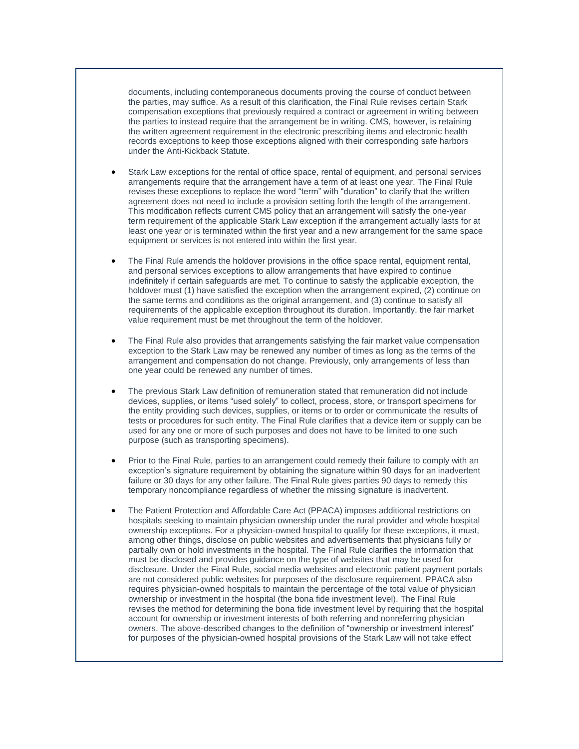documents, including contemporaneous documents proving the course of conduct between the parties, may suffice. As a result of this clarification, the Final Rule revises certain Stark compensation exceptions that previously required a contract or agreement in writing between the parties to instead require that the arrangement be in writing. CMS, however, is retaining the written agreement requirement in the electronic prescribing items and electronic health records exceptions to keep those exceptions aligned with their corresponding safe harbors under the Anti-Kickback Statute.

- Stark Law exceptions for the rental of office space, rental of equipment, and personal services arrangements require that the arrangement have a term of at least one year. The Final Rule revises these exceptions to replace the word "term" with "duration" to clarify that the written agreement does not need to include a provision setting forth the length of the arrangement. This modification reflects current CMS policy that an arrangement will satisfy the one-year term requirement of the applicable Stark Law exception if the arrangement actually lasts for at least one year or is terminated within the first year and a new arrangement for the same space equipment or services is not entered into within the first year.
- The Final Rule amends the holdover provisions in the office space rental, equipment rental, and personal services exceptions to allow arrangements that have expired to continue indefinitely if certain safeguards are met. To continue to satisfy the applicable exception, the holdover must (1) have satisfied the exception when the arrangement expired, (2) continue on the same terms and conditions as the original arrangement, and (3) continue to satisfy all requirements of the applicable exception throughout its duration. Importantly, the fair market value requirement must be met throughout the term of the holdover.
- The Final Rule also provides that arrangements satisfying the fair market value compensation exception to the Stark Law may be renewed any number of times as long as the terms of the arrangement and compensation do not change. Previously, only arrangements of less than one year could be renewed any number of times.
- The previous Stark Law definition of remuneration stated that remuneration did not include devices, supplies, or items "used solely" to collect, process, store, or transport specimens for the entity providing such devices, supplies, or items or to order or communicate the results of tests or procedures for such entity. The Final Rule clarifies that a device item or supply can be used for any one or more of such purposes and does not have to be limited to one such purpose (such as transporting specimens).
- Prior to the Final Rule, parties to an arrangement could remedy their failure to comply with an exception's signature requirement by obtaining the signature within 90 days for an inadvertent failure or 30 days for any other failure. The Final Rule gives parties 90 days to remedy this temporary noncompliance regardless of whether the missing signature is inadvertent.
- The Patient Protection and Affordable Care Act (PPACA) imposes additional restrictions on hospitals seeking to maintain physician ownership under the rural provider and whole hospital ownership exceptions. For a physician-owned hospital to qualify for these exceptions, it must, among other things, disclose on public websites and advertisements that physicians fully or partially own or hold investments in the hospital. The Final Rule clarifies the information that must be disclosed and provides guidance on the type of websites that may be used for disclosure. Under the Final Rule, social media websites and electronic patient payment portals are not considered public websites for purposes of the disclosure requirement. PPACA also requires physician-owned hospitals to maintain the percentage of the total value of physician ownership or investment in the hospital (the bona fide investment level). The Final Rule revises the method for determining the bona fide investment level by requiring that the hospital account for ownership or investment interests of both referring and nonreferring physician owners. The above-described changes to the definition of "ownership or investment interest" for purposes of the physician-owned hospital provisions of the Stark Law will not take effect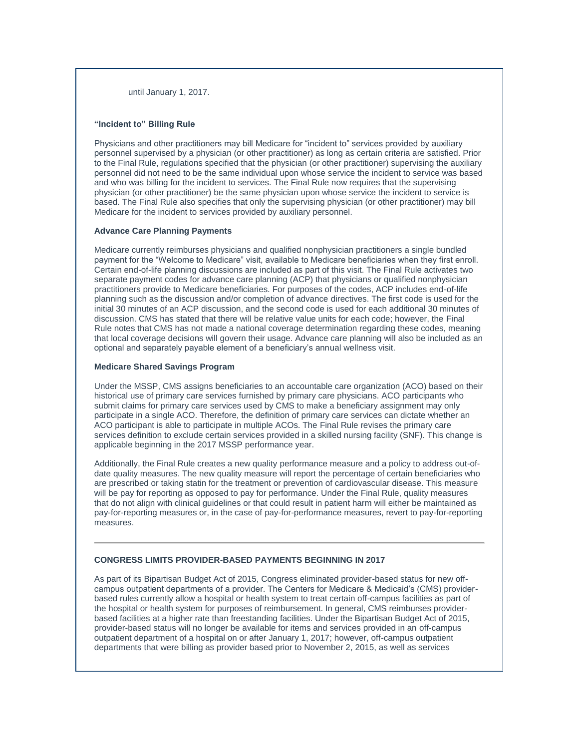until January 1, 2017.

## **"Incident to" Billing Rule**

Physicians and other practitioners may bill Medicare for "incident to" services provided by auxiliary personnel supervised by a physician (or other practitioner) as long as certain criteria are satisfied. Prior to the Final Rule, regulations specified that the physician (or other practitioner) supervising the auxiliary personnel did not need to be the same individual upon whose service the incident to service was based and who was billing for the incident to services. The Final Rule now requires that the supervising physician (or other practitioner) be the same physician upon whose service the incident to service is based. The Final Rule also specifies that only the supervising physician (or other practitioner) may bill Medicare for the incident to services provided by auxiliary personnel.

## **Advance Care Planning Payments**

Medicare currently reimburses physicians and qualified nonphysician practitioners a single bundled payment for the "Welcome to Medicare" visit, available to Medicare beneficiaries when they first enroll. Certain end-of-life planning discussions are included as part of this visit. The Final Rule activates two separate payment codes for advance care planning (ACP) that physicians or qualified nonphysician practitioners provide to Medicare beneficiaries. For purposes of the codes, ACP includes end-of-life planning such as the discussion and/or completion of advance directives. The first code is used for the initial 30 minutes of an ACP discussion, and the second code is used for each additional 30 minutes of discussion. CMS has stated that there will be relative value units for each code; however, the Final Rule notes that CMS has not made a national coverage determination regarding these codes, meaning that local coverage decisions will govern their usage. Advance care planning will also be included as an optional and separately payable element of a beneficiary's annual wellness visit.

## **Medicare Shared Savings Program**

Under the MSSP, CMS assigns beneficiaries to an accountable care organization (ACO) based on their historical use of primary care services furnished by primary care physicians. ACO participants who submit claims for primary care services used by CMS to make a beneficiary assignment may only participate in a single ACO. Therefore, the definition of primary care services can dictate whether an ACO participant is able to participate in multiple ACOs. The Final Rule revises the primary care services definition to exclude certain services provided in a skilled nursing facility (SNF). This change is applicable beginning in the 2017 MSSP performance year.

Additionally, the Final Rule creates a new quality performance measure and a policy to address out-ofdate quality measures. The new quality measure will report the percentage of certain beneficiaries who are prescribed or taking statin for the treatment or prevention of cardiovascular disease. This measure will be pay for reporting as opposed to pay for performance. Under the Final Rule, quality measures that do not align with clinical guidelines or that could result in patient harm will either be maintained as pay-for-reporting measures or, in the case of pay-for-performance measures, revert to pay-for-reporting measures.

#### <span id="page-3-0"></span>**CONGRESS LIMITS PROVIDER-BASED PAYMENTS BEGINNING IN 2017**

As part of its Bipartisan Budget Act of 2015, Congress eliminated provider-based status for new offcampus outpatient departments of a provider. The Centers for Medicare & Medicaid's (CMS) providerbased rules currently allow a hospital or health system to treat certain off-campus facilities as part of the hospital or health system for purposes of reimbursement. In general, CMS reimburses providerbased facilities at a higher rate than freestanding facilities. Under the Bipartisan Budget Act of 2015, provider-based status will no longer be available for items and services provided in an off-campus outpatient department of a hospital on or after January 1, 2017; however, off-campus outpatient departments that were billing as provider based prior to November 2, 2015, as well as services